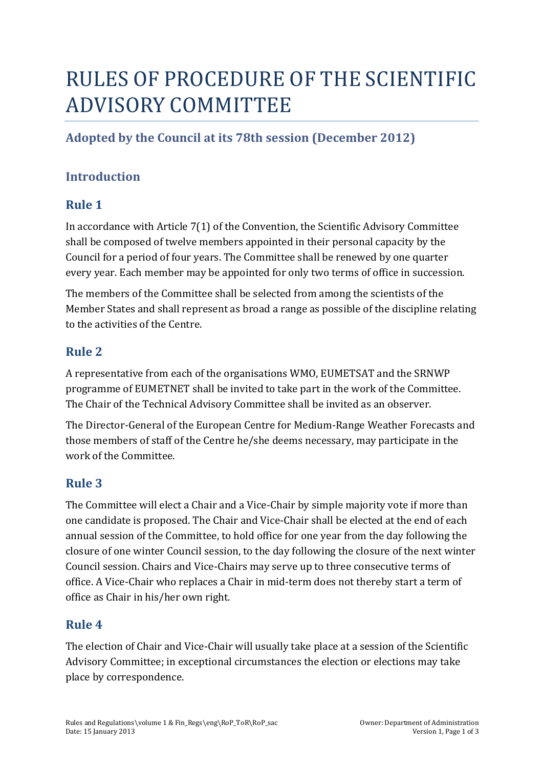# RULES OF PROCEDURE OF THE SCIENTIFIC ADVISORY COMMITTEE

# **Adopted by the Council at its 78th session (December 2012)**

## **Introduction**

## **Rule 1**

In accordance with Article  $7(1)$  of the Convention, the Scientific Advisory Committee shall be composed of twelve members appointed in their personal capacity by the Council for a period of four years. The Committee shall be renewed by one quarter every year. Each member may be appointed for only two terms of office in succession.

The members of the Committee shall be selected from among the scientists of the Member States and shall represent as broad a range as possible of the discipline relating to the activities of the Centre.

## **Rule 2**

A representative from each of the organisations WMO, EUMETSAT and the SRNWP programme of EUMETNET shall be invited to take part in the work of the Committee. The Chair of the Technical Advisory Committee shall be invited as an observer.

The Director-General of the European Centre for Medium-Range Weather Forecasts and those members of staff of the Centre he/she deems necessary, may participate in the work of the Committee.

## **Rule 3**

The Committee will elect a Chair and a Vice-Chair by simple majority vote if more than one candidate is proposed. The Chair and Vice-Chair shall be elected at the end of each annual session of the Committee, to hold office for one year from the day following the closure of one winter Council session, to the day following the closure of the next winter Council session. Chairs and Vice-Chairs may serve up to three consecutive terms of office. A Vice-Chair who replaces a Chair in mid-term does not thereby start a term of office as Chair in his/her own right.

## **Rule 4**

The election of Chair and Vice-Chair will usually take place at a session of the Scientific Advisory Committee; in exceptional circumstances the election or elections may take place by correspondence.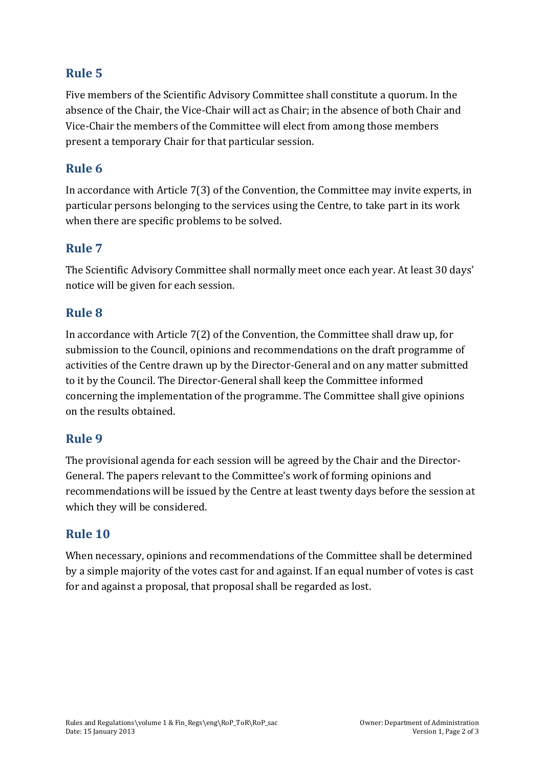## **Rule 5**

Five members of the Scientific Advisory Committee shall constitute a quorum. In the absence of the Chair, the Vice-Chair will act as Chair; in the absence of both Chair and Vice-Chair the members of the Committee will elect from among those members present a temporary Chair for that particular session.

#### **Rule 6**

In accordance with Article  $7(3)$  of the Convention, the Committee may invite experts, in particular persons belonging to the services using the Centre, to take part in its work when there are specific problems to be solved.

#### **Rule 7**

The Scientific Advisory Committee shall normally meet once each year. At least 30 days' notice will be given for each session.

#### **Rule 8**

In accordance with Article  $7(2)$  of the Convention, the Committee shall draw up, for submission to the Council, opinions and recommendations on the draft programme of activities of the Centre drawn up by the Director-General and on any matter submitted to it by the Council. The Director-General shall keep the Committee informed concerning the implementation of the programme. The Committee shall give opinions on the results obtained.

#### **Rule 9**

The provisional agenda for each session will be agreed by the Chair and the Director-General. The papers relevant to the Committee's work of forming opinions and recommendations will be issued by the Centre at least twenty days before the session at which they will be considered.

#### **Rule 10**

When necessary, opinions and recommendations of the Committee shall be determined by a simple majority of the votes cast for and against. If an equal number of votes is cast for and against a proposal, that proposal shall be regarded as lost.